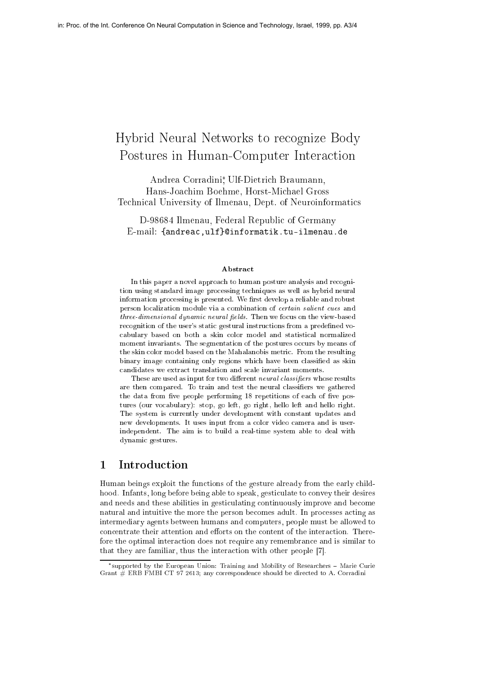# Hybrid Neural Networks to recognize Body Postures in Human-Computer Interaction

Andrea Corradini , Ulf-Dietrich Braumann, Hans-Joachim Boehme, Horst-Michael Gross Technical University of Ilmenau, Dept. of Neuroinformatics

D-98684 Ilmenau, Federal Republic of Germany E-mail: {andreac,ulf}@informatik.tu-ilmenau.de

### Abstract

In this paper <sup>a</sup> novel approach to human posture analysis and recognition using standard image processing techniques as well as hybrid neural information processing is presented. We rst develop <sup>a</sup> reliable and robust person localization module via <sup>a</sup> combination of certain salient cues and three-dimensional dynamic neural fields. Then we focus on the view-based recognition of the user's static gestural instructions from a predefined vocabulary based on both a skin color model and statistical normalized and statistical normalized and statistica moment invariants. The segmentation of the postures occurs by means of the skin color model based on the Mahalanobis metric. From the resulting binary image containing only regions which have been classied as skin

These are used as input for two dierent neural classiers whose results are then compared. To train and test the neural classiers we gathered the data from ve people performing <sup>18</sup> repetitions of each of ve postures (our vocabulary): stop, go left, go right, hello left and hello right. The system is currently under development with constant updates and updates and updates and updates and updates and updates and updates and updates and updates and updates and updates and updates and updates and updates a new developments. It uses input from <sup>a</sup> color video camera and is userindependent. The aim is to build <sup>a</sup> real-time system able to deal with  $\alpha$  is generated.

Human beings exploit the functions of the gesture already from the early childhood. Infants, long before being able to speak, gesticulate to convey their desires and needs and these abilities in gesticulating continuously improve and become natural and intuitive the more the person becomes adult. In processes acting as intermediary agents between humans and computers, people must be allowed to concentrate their attention and efforts on the content of the interaction. Therefore the optimal interaction does not require any remembrance and is similar to that they are familiar, thus the interaction with other people [7].

supported by the European Union: Training and Mobility of Researchers Marie Curie Grant # ERB FMBI CT 97 2613; any correspondence should be directed to A. Corradini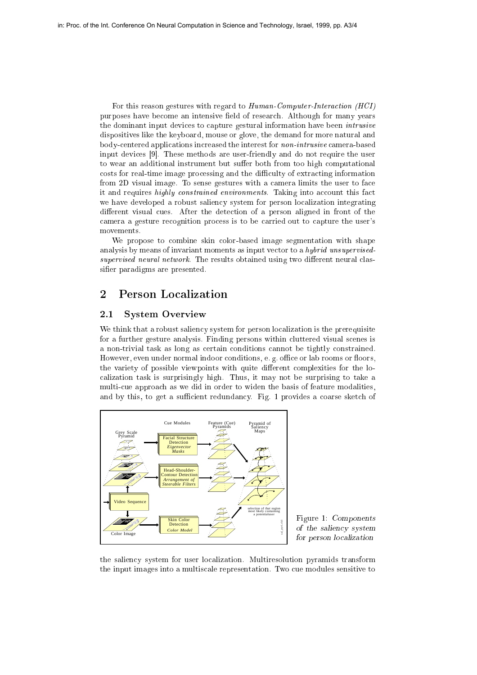For this reason gestures with regard to Human-Computer-Interaction (HCI) purposes have become an intensive field of research. Although for many years the dominant input devices to capture gestural information have been *intrusive* dispositives like the keyboard, mouse or glove, the demand for more natural and body-centered applications increased the interest for non-intrusive camera-based input devices [9]. These methods are user-friendly and do not require the user to wear an additional instrument but suffer both from too high computational costs for real-time image processing and the difficulty of extracting information from 2D visual image. To sense gestures with a camera limits the user to face it and requires highly constrained environments. Taking into account this fact we have developed a robust saliency system for person localization integrating different visual cues. After the detection of a person aligned in front of the camera a gesture recognition process is to be carried out to capture the user's movements.

We propose to combine skin color-based image segmentation with shape analysis by means of invariant moments as input vector to a *hybrid unsupervised* $supervised$  neural network. The results obtained using two different neural classifier paradigms are presented.

#### $\overline{2}$ **Person Localization**

### 2.1 System Overview

We think that a robust saliency system for person localization is the prerequisite for a further gesture analysis. Finding persons within cluttered visual scenes is a non-trivial task as long as certain conditions cannot be tightly constrained. However, even under normal indoor conditions, e.g. office or lab rooms or floors, the variety of possible viewpoints with quite different complexities for the localization task is surprisingly high. Thus, it may not be surprising to take a multi-cue approach as we did in order to widen the basis of feature modalities, and by this, to get a sufficient redundancy. Fig. 1 provides a coarse sketch of



Figure 1: Components  $\sim$  the salience system of  $\sim$ for person localization

the saliency system for user localization. Multiresolution pyramids transform the input images into a multiscale representation. Two cue modules sensitive to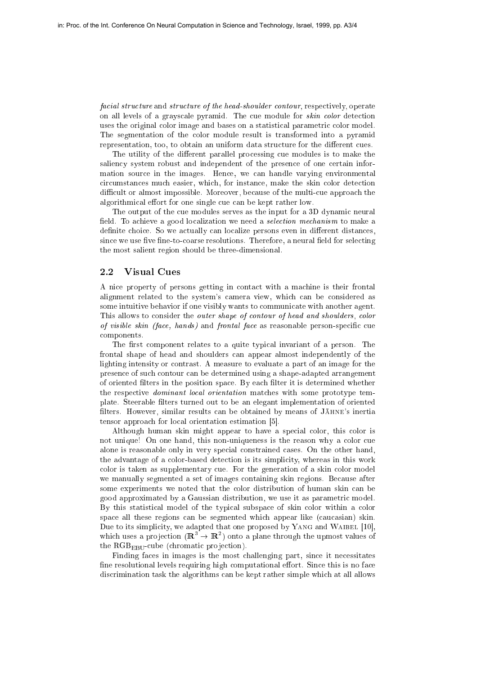facial structure and structure of the head-shoulder contour, respectively, operate on all levels of a grayscale pyramid. The cue module for skin color detection uses the original color image and bases on a statistical parametric color model. The segmentation of the color module result is transformed into a pyramid representation, too, to obtain an uniform data structure for the different cues.

The utility of the different parallel processing cue modules is to make the saliency system robust and independent of the presence of one certain information source in the images. Hence, we can handle varying environmental circumstances much easier, which, for instance, make the skin color detection difficult or almost impossible. Moreover, because of the multi-cue approach the algorithmical effort for one single cue can be kept rather low.

The output of the cue modules serves as the input for a 3D dynamic neural field. To achieve a good localization we need a *selection mechanism* to make a definite choice. So we actually can localize persons even in different distances, since we use five fine-to-coarse resolutions. Therefore, a neural field for selecting the most salient region should be three-dimensional.

### 2.2 Visual Cues

A nice property of persons getting in contact with a machine is their frontal alignment related to the system's camera view, which can be considered as some intuitive behavior if one visibly wants to communicate with another agent. This allows to consider the *outer shape of contour of head and shoulders, color* of visible skin (face, hands) and frontal face as reasonable person-specific cue components.

The first component relates to a quite typical invariant of a person. The frontal shape of head and shoulders can appear almost independently of the lighting intensity or contrast. A measure to evaluate a part of an image for the presence of such contour can be determined using a shape-adapted arrangement of oriented filters in the position space. By each filter it is determined whether the respective *dominant local orientation* matches with some prototype template. Steerable lters turned out to be an elegant implementation of oriented filters. However, similar results can be obtained by means of JÄHNE's inertia tensor approach for local orientation estimation [5].

Although human skin might appear to have a special color, this color is not unique! On one hand, this non-uniqueness is the reason why a color cue alone is reasonable only in very special constrained cases. On the other hand, the advantage of a color-based detection is its simplicity, whereas in this work color is taken as supplementary cue. For the generation of a skin color model we manually segmented a set of images containing skin regions. Because after some experiments we noted that the color distribution of human skin can be good approximated by a Gaussian distribution, we use it as parametric model. By this statistical model of the typical subspace of skin color within a color space all these regions can be segmented which appear like (caucasian) skin. Due to its simplicity, we adapted that one proposed by YANG and WAIBEL [10], which uses a projection ( $\mathbb{R}^+ \to \mathbb{R}^+$ ) onto a plane through the upmost values of the  $RGB<sub>EBU</sub>$ -cube (chromatic projection).

Finding faces in images is the most challenging part, since it necessitates fine resolutional levels requiring high computational effort. Since this is no face discrimination task the algorithms can be kept rather simple which at all allows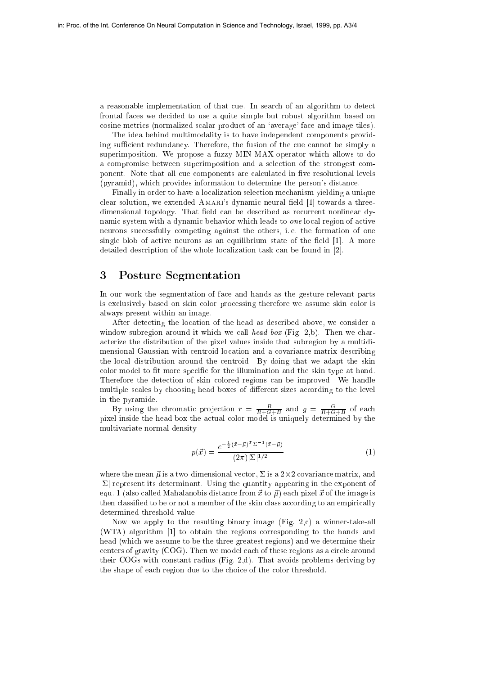a reasonable implementation of that cue. In search of an algorithm to detect frontal faces we decided to use a quite simple but robust algorithm based on cosine metrics (normalized scalar product of an `average' face and image tiles).

The idea behind multimodality is to have independent components providing sufficient redundancy. Therefore, the fusion of the cue cannot be simply a superimposition. We propose a fuzzy MIN-MAX-operator which allows to do a compromise between superimposition and a selection of the strongest component. Note that all cue components are calculated in five resolutional levels (pyramid), which provides information to determine the person's distance.

Finally in order to have a localization selection mechanism yielding a unique clear solution, we extended  $A$ MARI's dynamic neural field  $[1]$  towards a threedimensional topology. That field can be described as recurrent nonlinear dynamic system with a dynamic behavior which leads to one local region of active neurons successfully competing against the others, i. e. the formation of one single blob of active neurons as an equilibrium state of the field  $[1]$ . A more detailed description of the whole localization task can be found in [2].

#### 3Posture Segmentation

In our work the segmentation of face and hands as the gesture relevant parts is exclusively based on skin color processing therefore we assume skin color is always present within an image.

After detecting the location of the head as described above, we consider a window subregion around it which we call head box (Fig. 2,b). Then we characterize the distribution of the pixel values inside that subregion by a multidimensional Gaussian with centroid location and a covariance matrix describing the local distribution around the centroid. By doing that we adapt the skin color model to fit more specific for the illumination and the skin type at hand. Therefore the detection of skin colored regions can be improved. We handle multiple scales by choosing head boxes of different sizes according to the level in the pyramide.

By using the chromatic projection  $r = \frac{R+G+B}{R+G+B}$  and  $g = \frac{R+G+B}{R+G+B}$  or each pixel inside the head box the actual color model is uniquely determined by the multivariate normal density

$$
p(\vec{x}) = \frac{e^{-\frac{1}{2}(\vec{x} - \vec{\mu})^T \Sigma^{-1}(\vec{x} - \vec{\mu})}}{(2\pi)|\Sigma|^{1/2}}
$$
(1)

where the meaning  $_{\rm Pl}$  is a  $2\times 1-$  completed matrix, and  $2-$  -  $\alpha$  and  $2 \alpha$  2-are  $\alpha$  2-are  $\alpha$  $|\Sigma|$  represent its determinant. Using the quantity appearing in the exponent of equ. 1 (also called Mahalanobis distance from  $\vec{x}$  to  $\vec{\mu}$ ) each pixel  $\vec{x}$  of the image is then classified to be or not a member of the skin class according to an empirically determined threshold value.

Now we apply to the resulting binary image (Fig. 2,c) a winner-take-all (WTA) algorithm [1] to obtain the regions corresponding to the hands and head (which we assume to be the three greatest regions) and we determine their centers of gravity (COG). Then we model each of these regions as a circle around their COGs with constant radius (Fig. 2,d). That avoids problems deriving by the shape of each region due to the choice of the color threshold.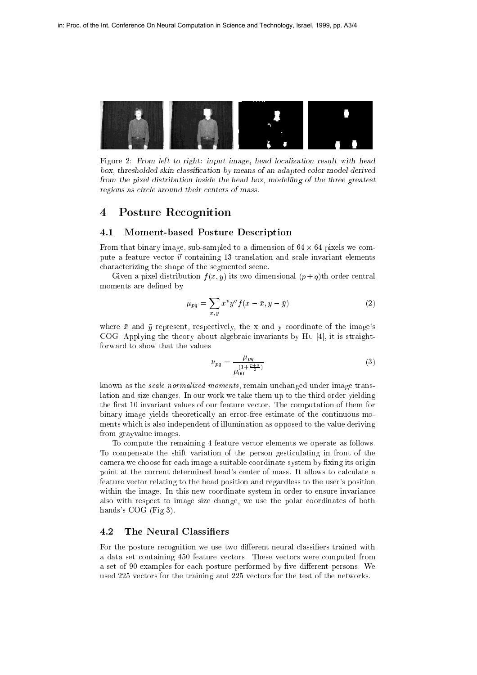

Figure 2: From left to right: input image, head localization result with head box, thresholded skin classication by means of an adapted color model derived from the pixel distribution inside the head box, modelling of the three greatest regions as circle around their centers of mass.

## Posture Recognition

### 4.1 Moment-based Posture Description

From that binary image, sub-sampled to a dimension of <sup>64</sup> - <sup>64</sup> pixels we compute a feature vector  $\vec{v}$  containing 13 translation and scale invariant elements characterizing the shape of the segmented scene.

Given a pixel distribution  $f(x, y)$  its two-dimensional  $(p+q)$ th order central moments are defined by

$$
\mu_{pq} = \sum_{x,y} x^p y^q f(x - \bar{x}, y - \bar{y})
$$
\n(2)

where  $\bar{x}$  and  $\bar{y}$  represent, respectively, the x and y coordinate of the image's COG. Applying the theory about algebraic invariants by Hu [4], it is straightforward to show that the values

$$
\nu_{pq} = \frac{\mu_{pq}}{\mu_{00}^{\left(1 + \frac{p+q}{2}\right)}}\tag{3}
$$

known as the scale normalized moments, remain unchanged under image translation and size changes. In our work we take them up to the third order yielding the first 10 invariant values of our feature vector. The computation of them for binary image yields theoretically an error-free estimate of the continuous moments which is also independent of illumination as opposed to the value deriving from grayvalue images.

To compute the remaining 4 feature vector elements we operate as follows. To compensate the shift variation of the person gesticulating in front of the camera we choose for each image a suitable coordinate system by fixing its origin point at the current determined head's center of mass. It allows to calculate a feature vector relating to the head position and regardless to the user's position within the image. In this new coordinate system in order to ensure invariance also with respect to image size change, we use the polar coordinates of both hands's COG (Fig.3).

### 4.2 The Neural Classifiers

For the posture recognition we use two different neural classifiers trained with a data set containing 450 feature vectors. These vectors were computed from a set of 90 examples for each posture performed by five different persons. We used 225 vectors for the training and 225 vectors for the test of the networks.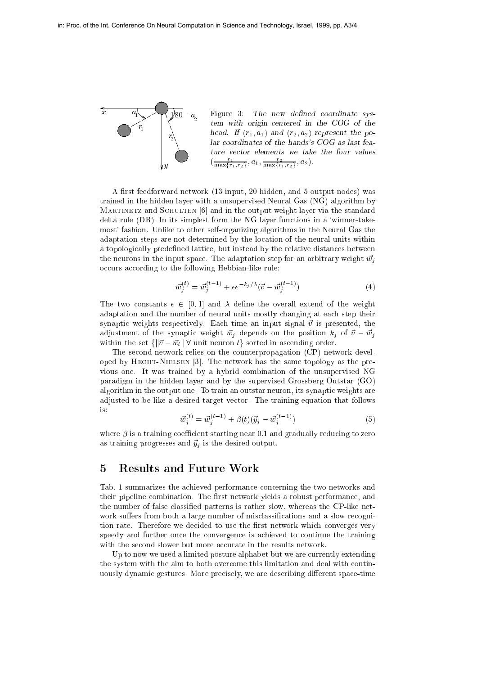PSfrag replacements



Figure 3: The new defined coordinate system with origin centered in the COG of the head. If (r1; a1) and (r2; a2) represent the polar coordinates of the hands's COG as last fea- $\{\frac{1}{\max\{r_1,r_2\}},a_1,\frac{1}{\max\{r_1,r_2\}},a_2\}.$ 

A first feedforward network (13 input, 20 hidden, and 5 output nodes) was trained in the hidden layer with a unsupervised Neural Gas (NG) algorithm by MARTINETZ and SCHULTEN [6] and in the output weight layer via the standard delta rule  $(DR)$ . In its simplest form the NG layer functions in a 'winner-takemost' fashion. Unlike to other self-organizing algorithms in the Neural Gas the adaptation steps are not determined by the location of the neural units within a topologically predefined lattice, but instead by the relative distances between the neurons in the input space. The adaptation step for an arbitrary weight  $\vec{w_i}$ occurs according to the following Hebbian-like rule:

$$
\vec{w}_j^{(t)} = \vec{w}_j^{(t-1)} + \epsilon e^{-k_j/\lambda} (\vec{v} - \vec{w}_j^{(t-1)})
$$
\n(4)

The two constants  $\epsilon \in [0, 1]$  and  $\lambda$  define the overall extend of the weight adaptation and the number of neural units mostly changing at each step their synaptic weights respectively. Each time an input signal  $\vec{v}$  is presented, the adjustment of the synaptic weight  $\vec{w}_j$  depends on the position  $k_j$  of  $\vec{v} - \vec{w}_j$ within the set  $\{\|\vec{v}-\vec{w}_l\| \forall \text{ unit neuron } l\}$  sorted in ascending order.

The second network relies on the counterpropagation (CP) network developed by HECHT-NIELSEN  $[3]$ . The network has the same topology as the previous one. It was trained by a hybrid combination of the unsupervised NG paradigm in the hidden layer and by the supervised Grossberg Outstar (GO) algorithm in the output one. To train an outstar neuron, its synaptic weights are adjusted to be like a desired target vector. The training equation that follows

$$
\vec{w}_j^{(t)} = \vec{w}_j^{(t-1)} + \beta(t)(\vec{y}_j - \vec{w}_j^{(t-1)})
$$
\n(5)

where  $\beta$  is a training coefficient starting near 0.1 and gradually reducing to zero as training progresses and  $\vec{y}_j$  is the desired output.

#### 5Results and Future Work

Tab. 1 summarizes the achieved performance concerning the two networks and their pipeline combination. The first network yields a robust performance, and the number of false classified patterns is rather slow, whereas the CP-like network suffers from both a large number of misclassifications and a slow recognition rate. Therefore we decided to use the first network which converges very speedy and further once the convergence is achieved to continue the training with the second slower but more accurate in the results network.

Up to now we used a limited posture alphabet but we are currently extending the system with the aim to both overcome this limitation and deal with continuously dynamic gestures. More precisely, we are describing different space-time